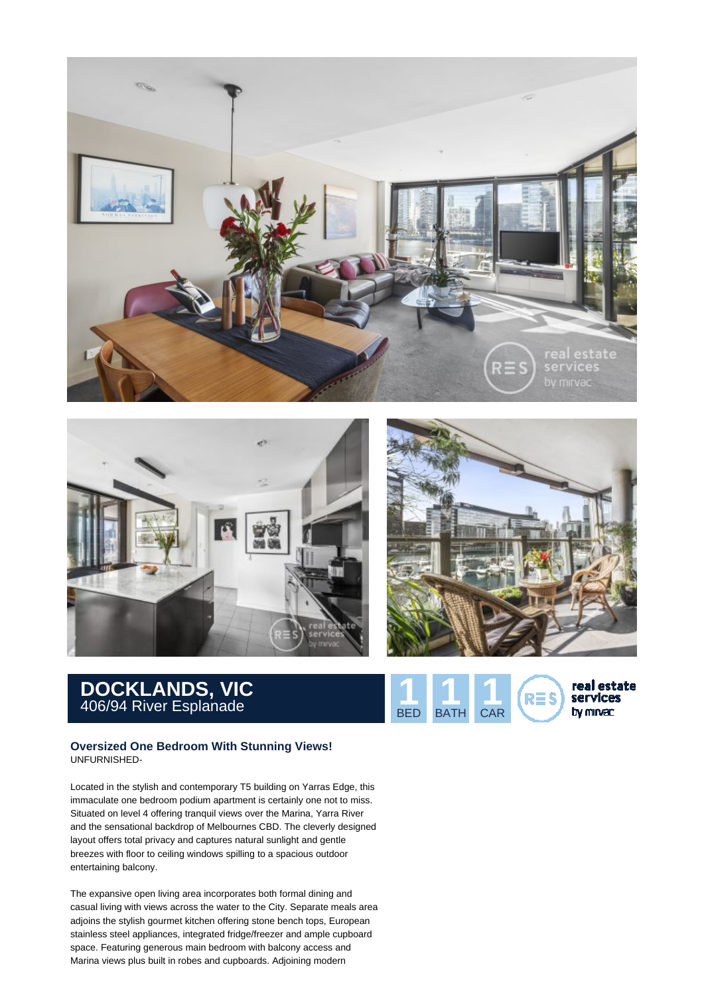





## **DOCKLANDS, VIC** 406/94 River Esplanade **1 1 1**

## **Oversized One Bedroom With Stunning Views!** UNFURNISHED-

Located in the stylish and contemporary T5 building on Yarras Edge, this immaculate one bedroom podium apartment is certainly one not to miss. Situated on level 4 offering tranquil views over the Marina, Yarra River and the sensational backdrop of Melbournes CBD. The cleverly designed layout offers total privacy and captures natural sunlight and gentle breezes with floor to ceiling windows spilling to a spacious outdoor entertaining balcony.

The expansive open living area incorporates both formal dining and casual living with views across the water to the City. Separate meals area adjoins the stylish gourmet kitchen offering stone bench tops, European stainless steel appliances, integrated fridge/freezer and ample cupboard space. Featuring generous main bedroom with balcony access and Marina views plus built in robes and cupboards. Adjoining modern

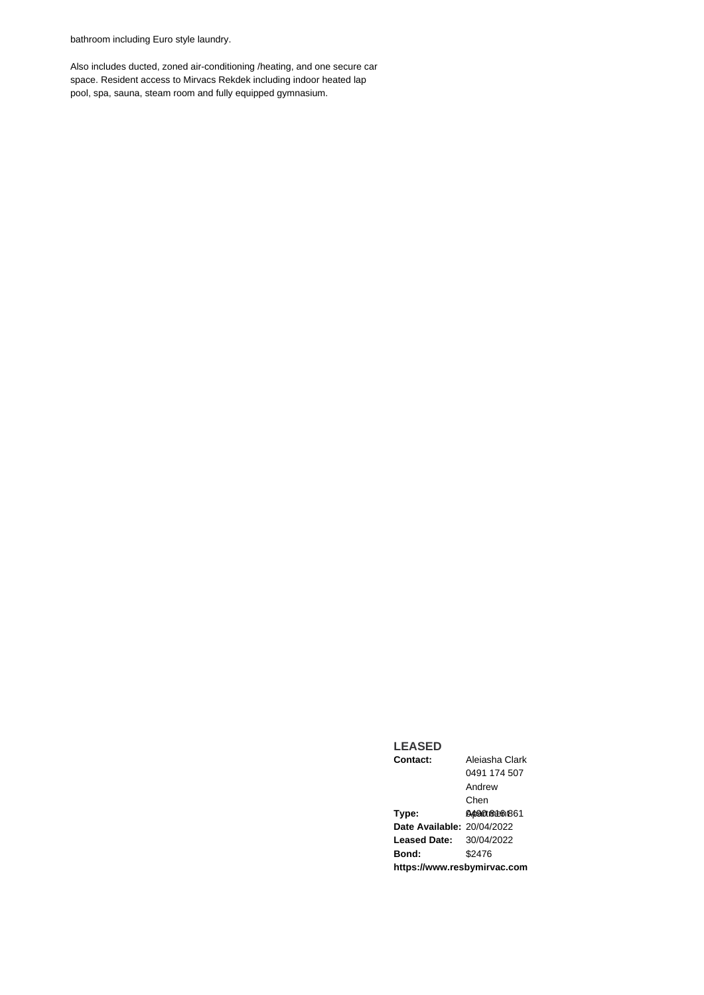bathroom including Euro style laundry.

Also includes ducted, zoned air-conditioning /heating, and one secure car space. Resident access to Mirvacs Rekdek including indoor heated lap pool, spa, sauna, steam room and fully equipped gymnasium.

## **Contact:** Aleiasha Clark 0491 174 507 Andrew

**LEASED**

Chen **Type:** 0490 861 861 **Date Available:** 20/04/2022 **Leased Date:** 30/04/2022 **Bond:** \$2476 **https://www.resbymirvac.com**